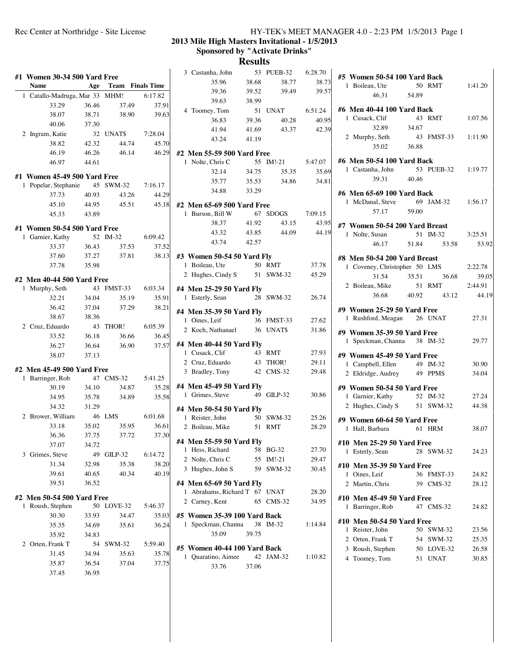## Rec Center at Northridge - Site License HY-TEK's MEET MANAGER 4.0 - 2:23 PM 1/5/2013 Page 1

## **2013 Mile High Masters Invitational - 1/5/2013 Sponsored by "Activate Drinks"**

## **Results**

| #1 Women 30-34 500 Yard Free<br>35.96<br>38.68<br>38.77<br><b>Name</b><br><b>Team</b> Finals Time<br>Age<br>39.36<br>39.52<br>39.49<br>1 Catallo-Madruga, Mar 33<br>MHM!<br>6:17.82<br>39.63<br>38.99<br>33.29<br>36.46<br>37.49<br>37.91<br>4 Toomey, Tom<br>51 UNAT<br>38.07<br>38.71<br>38.90<br>39.63<br>36.83<br>39.36<br>40.28<br>40.06<br>37.30<br>41.94<br>41.69<br>43.37<br>2 Ingram, Katie<br>7:28.04<br>32 UNATS<br>43.24<br>41.19<br>38.82<br>42.32<br>44.74<br>45.70<br>46.19<br>46.26<br>46.14<br>46.29<br>#2 Men 55-59 500 Yard Free<br>55 IM!-21<br>1 Nolte, Chris C<br>46.97<br>44.61<br>32.14<br>34.75<br>35.35<br>35.77<br>35.53<br>34.86<br>1 Popelar, Stephanie<br>45 SWM-32<br>7:16.17<br>34.88<br>33.29<br>37.73<br>40.93<br>43.26<br>44.29<br>45.10<br>44.95<br>45.51<br>45.18<br>#2 Men 65-69 500 Yard Free<br>67 SDOGS<br>45.33<br>43.89<br>1 Burson, Bill W<br>38.37<br>41.92<br>43.15<br>43.32<br>43.85<br>44.09<br>1 Garnier, Kathy<br>52 IM-32<br>6:09.42<br>43.74<br>42.57<br>33.37<br>36.43<br>37.53<br>37.52<br>37.60<br>37.27<br>37.81<br>38.13<br>#3 Women 50-54 50 Yard Fly<br>50 RMT<br>1 Boileau, Ute<br>37.78<br>35.98<br>2 Hughes, Cindy S<br>51 SWM-32<br>43 FMST-33<br>6:03.34<br>1 Murphy, Seth<br>#4 Men 25-29 50 Yard Fly<br>28 SWM-32<br>1 Esterly, Sean<br>32.21<br>34.04<br>35.19<br>35.91<br>36.42<br>37.04<br>37.29<br>38.21<br>#4 Men 35-39 50 Yard Fly<br>38.67<br>38.36<br>1 Oines, Leif<br>36 FMST-33<br>43<br>THOR!<br>6:05.39<br>2 Cruz, Eduardo<br>36 UNAT\$<br>2 Koch, Nathanael<br>36.18<br>33.52<br>36.66<br>36.45<br>#4 Men 40-44 50 Yard Fly<br>37.57<br>36.27<br>36.64<br>36.90<br>1 Cusack, Clif<br>43 RMT<br>38.07<br>37.13<br>43 THOR!<br>2 Cruz, Eduardo<br>3 Bradley, Tony<br>42 CMS-32<br>47 CMS-32<br>1 Barringer, Rob<br>5:41.25<br>#4 Men 45-49 50 Yard Fly<br>30.19<br>34.10<br>34.87<br>35.28 | 38.73<br>39.57<br>6:51.24<br>40.95<br>42.39<br>5:47.07<br>35.69<br>34.81<br>7:09.15 |
|-------------------------------------------------------------------------------------------------------------------------------------------------------------------------------------------------------------------------------------------------------------------------------------------------------------------------------------------------------------------------------------------------------------------------------------------------------------------------------------------------------------------------------------------------------------------------------------------------------------------------------------------------------------------------------------------------------------------------------------------------------------------------------------------------------------------------------------------------------------------------------------------------------------------------------------------------------------------------------------------------------------------------------------------------------------------------------------------------------------------------------------------------------------------------------------------------------------------------------------------------------------------------------------------------------------------------------------------------------------------------------------------------------------------------------------------------------------------------------------------------------------------------------------------------------------------------------------------------------------------------------------------------------------------------------------------------------------------------------------------------------------------------------------------------------------------------------------------------------------------------|-------------------------------------------------------------------------------------|
| #1 Women 45-49 500 Yard Free<br>#1 Women 50-54 500 Yard Free<br>#2 Men 40-44 500 Yard Free<br>#2 Men 45-49 500 Yard Free                                                                                                                                                                                                                                                                                                                                                                                                                                                                                                                                                                                                                                                                                                                                                                                                                                                                                                                                                                                                                                                                                                                                                                                                                                                                                                                                                                                                                                                                                                                                                                                                                                                                                                                                                |                                                                                     |
|                                                                                                                                                                                                                                                                                                                                                                                                                                                                                                                                                                                                                                                                                                                                                                                                                                                                                                                                                                                                                                                                                                                                                                                                                                                                                                                                                                                                                                                                                                                                                                                                                                                                                                                                                                                                                                                                         |                                                                                     |
|                                                                                                                                                                                                                                                                                                                                                                                                                                                                                                                                                                                                                                                                                                                                                                                                                                                                                                                                                                                                                                                                                                                                                                                                                                                                                                                                                                                                                                                                                                                                                                                                                                                                                                                                                                                                                                                                         |                                                                                     |
|                                                                                                                                                                                                                                                                                                                                                                                                                                                                                                                                                                                                                                                                                                                                                                                                                                                                                                                                                                                                                                                                                                                                                                                                                                                                                                                                                                                                                                                                                                                                                                                                                                                                                                                                                                                                                                                                         |                                                                                     |
|                                                                                                                                                                                                                                                                                                                                                                                                                                                                                                                                                                                                                                                                                                                                                                                                                                                                                                                                                                                                                                                                                                                                                                                                                                                                                                                                                                                                                                                                                                                                                                                                                                                                                                                                                                                                                                                                         |                                                                                     |
|                                                                                                                                                                                                                                                                                                                                                                                                                                                                                                                                                                                                                                                                                                                                                                                                                                                                                                                                                                                                                                                                                                                                                                                                                                                                                                                                                                                                                                                                                                                                                                                                                                                                                                                                                                                                                                                                         |                                                                                     |
|                                                                                                                                                                                                                                                                                                                                                                                                                                                                                                                                                                                                                                                                                                                                                                                                                                                                                                                                                                                                                                                                                                                                                                                                                                                                                                                                                                                                                                                                                                                                                                                                                                                                                                                                                                                                                                                                         |                                                                                     |
|                                                                                                                                                                                                                                                                                                                                                                                                                                                                                                                                                                                                                                                                                                                                                                                                                                                                                                                                                                                                                                                                                                                                                                                                                                                                                                                                                                                                                                                                                                                                                                                                                                                                                                                                                                                                                                                                         |                                                                                     |
|                                                                                                                                                                                                                                                                                                                                                                                                                                                                                                                                                                                                                                                                                                                                                                                                                                                                                                                                                                                                                                                                                                                                                                                                                                                                                                                                                                                                                                                                                                                                                                                                                                                                                                                                                                                                                                                                         |                                                                                     |
|                                                                                                                                                                                                                                                                                                                                                                                                                                                                                                                                                                                                                                                                                                                                                                                                                                                                                                                                                                                                                                                                                                                                                                                                                                                                                                                                                                                                                                                                                                                                                                                                                                                                                                                                                                                                                                                                         |                                                                                     |
|                                                                                                                                                                                                                                                                                                                                                                                                                                                                                                                                                                                                                                                                                                                                                                                                                                                                                                                                                                                                                                                                                                                                                                                                                                                                                                                                                                                                                                                                                                                                                                                                                                                                                                                                                                                                                                                                         |                                                                                     |
|                                                                                                                                                                                                                                                                                                                                                                                                                                                                                                                                                                                                                                                                                                                                                                                                                                                                                                                                                                                                                                                                                                                                                                                                                                                                                                                                                                                                                                                                                                                                                                                                                                                                                                                                                                                                                                                                         |                                                                                     |
|                                                                                                                                                                                                                                                                                                                                                                                                                                                                                                                                                                                                                                                                                                                                                                                                                                                                                                                                                                                                                                                                                                                                                                                                                                                                                                                                                                                                                                                                                                                                                                                                                                                                                                                                                                                                                                                                         |                                                                                     |
|                                                                                                                                                                                                                                                                                                                                                                                                                                                                                                                                                                                                                                                                                                                                                                                                                                                                                                                                                                                                                                                                                                                                                                                                                                                                                                                                                                                                                                                                                                                                                                                                                                                                                                                                                                                                                                                                         |                                                                                     |
|                                                                                                                                                                                                                                                                                                                                                                                                                                                                                                                                                                                                                                                                                                                                                                                                                                                                                                                                                                                                                                                                                                                                                                                                                                                                                                                                                                                                                                                                                                                                                                                                                                                                                                                                                                                                                                                                         |                                                                                     |
|                                                                                                                                                                                                                                                                                                                                                                                                                                                                                                                                                                                                                                                                                                                                                                                                                                                                                                                                                                                                                                                                                                                                                                                                                                                                                                                                                                                                                                                                                                                                                                                                                                                                                                                                                                                                                                                                         | 43.95                                                                               |
|                                                                                                                                                                                                                                                                                                                                                                                                                                                                                                                                                                                                                                                                                                                                                                                                                                                                                                                                                                                                                                                                                                                                                                                                                                                                                                                                                                                                                                                                                                                                                                                                                                                                                                                                                                                                                                                                         | 44.19                                                                               |
|                                                                                                                                                                                                                                                                                                                                                                                                                                                                                                                                                                                                                                                                                                                                                                                                                                                                                                                                                                                                                                                                                                                                                                                                                                                                                                                                                                                                                                                                                                                                                                                                                                                                                                                                                                                                                                                                         |                                                                                     |
|                                                                                                                                                                                                                                                                                                                                                                                                                                                                                                                                                                                                                                                                                                                                                                                                                                                                                                                                                                                                                                                                                                                                                                                                                                                                                                                                                                                                                                                                                                                                                                                                                                                                                                                                                                                                                                                                         |                                                                                     |
|                                                                                                                                                                                                                                                                                                                                                                                                                                                                                                                                                                                                                                                                                                                                                                                                                                                                                                                                                                                                                                                                                                                                                                                                                                                                                                                                                                                                                                                                                                                                                                                                                                                                                                                                                                                                                                                                         |                                                                                     |
|                                                                                                                                                                                                                                                                                                                                                                                                                                                                                                                                                                                                                                                                                                                                                                                                                                                                                                                                                                                                                                                                                                                                                                                                                                                                                                                                                                                                                                                                                                                                                                                                                                                                                                                                                                                                                                                                         | 37.78                                                                               |
|                                                                                                                                                                                                                                                                                                                                                                                                                                                                                                                                                                                                                                                                                                                                                                                                                                                                                                                                                                                                                                                                                                                                                                                                                                                                                                                                                                                                                                                                                                                                                                                                                                                                                                                                                                                                                                                                         | 45.29                                                                               |
|                                                                                                                                                                                                                                                                                                                                                                                                                                                                                                                                                                                                                                                                                                                                                                                                                                                                                                                                                                                                                                                                                                                                                                                                                                                                                                                                                                                                                                                                                                                                                                                                                                                                                                                                                                                                                                                                         |                                                                                     |
|                                                                                                                                                                                                                                                                                                                                                                                                                                                                                                                                                                                                                                                                                                                                                                                                                                                                                                                                                                                                                                                                                                                                                                                                                                                                                                                                                                                                                                                                                                                                                                                                                                                                                                                                                                                                                                                                         | 26.74                                                                               |
|                                                                                                                                                                                                                                                                                                                                                                                                                                                                                                                                                                                                                                                                                                                                                                                                                                                                                                                                                                                                                                                                                                                                                                                                                                                                                                                                                                                                                                                                                                                                                                                                                                                                                                                                                                                                                                                                         |                                                                                     |
|                                                                                                                                                                                                                                                                                                                                                                                                                                                                                                                                                                                                                                                                                                                                                                                                                                                                                                                                                                                                                                                                                                                                                                                                                                                                                                                                                                                                                                                                                                                                                                                                                                                                                                                                                                                                                                                                         |                                                                                     |
|                                                                                                                                                                                                                                                                                                                                                                                                                                                                                                                                                                                                                                                                                                                                                                                                                                                                                                                                                                                                                                                                                                                                                                                                                                                                                                                                                                                                                                                                                                                                                                                                                                                                                                                                                                                                                                                                         | 27.62                                                                               |
|                                                                                                                                                                                                                                                                                                                                                                                                                                                                                                                                                                                                                                                                                                                                                                                                                                                                                                                                                                                                                                                                                                                                                                                                                                                                                                                                                                                                                                                                                                                                                                                                                                                                                                                                                                                                                                                                         | 31.86                                                                               |
|                                                                                                                                                                                                                                                                                                                                                                                                                                                                                                                                                                                                                                                                                                                                                                                                                                                                                                                                                                                                                                                                                                                                                                                                                                                                                                                                                                                                                                                                                                                                                                                                                                                                                                                                                                                                                                                                         |                                                                                     |
|                                                                                                                                                                                                                                                                                                                                                                                                                                                                                                                                                                                                                                                                                                                                                                                                                                                                                                                                                                                                                                                                                                                                                                                                                                                                                                                                                                                                                                                                                                                                                                                                                                                                                                                                                                                                                                                                         |                                                                                     |
|                                                                                                                                                                                                                                                                                                                                                                                                                                                                                                                                                                                                                                                                                                                                                                                                                                                                                                                                                                                                                                                                                                                                                                                                                                                                                                                                                                                                                                                                                                                                                                                                                                                                                                                                                                                                                                                                         | 27.93                                                                               |
|                                                                                                                                                                                                                                                                                                                                                                                                                                                                                                                                                                                                                                                                                                                                                                                                                                                                                                                                                                                                                                                                                                                                                                                                                                                                                                                                                                                                                                                                                                                                                                                                                                                                                                                                                                                                                                                                         | 29.11                                                                               |
|                                                                                                                                                                                                                                                                                                                                                                                                                                                                                                                                                                                                                                                                                                                                                                                                                                                                                                                                                                                                                                                                                                                                                                                                                                                                                                                                                                                                                                                                                                                                                                                                                                                                                                                                                                                                                                                                         | 29.48                                                                               |
|                                                                                                                                                                                                                                                                                                                                                                                                                                                                                                                                                                                                                                                                                                                                                                                                                                                                                                                                                                                                                                                                                                                                                                                                                                                                                                                                                                                                                                                                                                                                                                                                                                                                                                                                                                                                                                                                         |                                                                                     |
| 49 GILP-32<br>1 Grimes, Steve<br>34.95<br>34.89<br>35.58<br>35.78                                                                                                                                                                                                                                                                                                                                                                                                                                                                                                                                                                                                                                                                                                                                                                                                                                                                                                                                                                                                                                                                                                                                                                                                                                                                                                                                                                                                                                                                                                                                                                                                                                                                                                                                                                                                       | 30.86                                                                               |
| 34.32<br>31.29                                                                                                                                                                                                                                                                                                                                                                                                                                                                                                                                                                                                                                                                                                                                                                                                                                                                                                                                                                                                                                                                                                                                                                                                                                                                                                                                                                                                                                                                                                                                                                                                                                                                                                                                                                                                                                                          |                                                                                     |
| #4 Men 50-54 50 Yard Fly<br>6:01.68                                                                                                                                                                                                                                                                                                                                                                                                                                                                                                                                                                                                                                                                                                                                                                                                                                                                                                                                                                                                                                                                                                                                                                                                                                                                                                                                                                                                                                                                                                                                                                                                                                                                                                                                                                                                                                     |                                                                                     |
| 2 Brower, William<br>46 LMS<br>1 Reister, John<br>50 SWM-32<br>35.02                                                                                                                                                                                                                                                                                                                                                                                                                                                                                                                                                                                                                                                                                                                                                                                                                                                                                                                                                                                                                                                                                                                                                                                                                                                                                                                                                                                                                                                                                                                                                                                                                                                                                                                                                                                                    | 25.26                                                                               |
| 33.18<br>35.95<br>36.61<br>2 Boileau, Mike<br>51 RMT                                                                                                                                                                                                                                                                                                                                                                                                                                                                                                                                                                                                                                                                                                                                                                                                                                                                                                                                                                                                                                                                                                                                                                                                                                                                                                                                                                                                                                                                                                                                                                                                                                                                                                                                                                                                                    | 28.29                                                                               |
| 36.36<br>37.75<br>37.72<br>37.30<br>#4 Men 55-59 50 Yard Fly                                                                                                                                                                                                                                                                                                                                                                                                                                                                                                                                                                                                                                                                                                                                                                                                                                                                                                                                                                                                                                                                                                                                                                                                                                                                                                                                                                                                                                                                                                                                                                                                                                                                                                                                                                                                            |                                                                                     |
| 37.07<br>34.72<br>1 Hess, Richard<br>58 BG-32                                                                                                                                                                                                                                                                                                                                                                                                                                                                                                                                                                                                                                                                                                                                                                                                                                                                                                                                                                                                                                                                                                                                                                                                                                                                                                                                                                                                                                                                                                                                                                                                                                                                                                                                                                                                                           | 27.70                                                                               |
| 3 Grimes, Steve<br>49<br>GILP-32<br>6:14.72<br>2 Nolte, Chris C<br>55 IM!-21                                                                                                                                                                                                                                                                                                                                                                                                                                                                                                                                                                                                                                                                                                                                                                                                                                                                                                                                                                                                                                                                                                                                                                                                                                                                                                                                                                                                                                                                                                                                                                                                                                                                                                                                                                                            | 29.47                                                                               |
| 31.34<br>32.98<br>35.38<br>38.20<br>3 Hughes, John S<br>59 SWM-32                                                                                                                                                                                                                                                                                                                                                                                                                                                                                                                                                                                                                                                                                                                                                                                                                                                                                                                                                                                                                                                                                                                                                                                                                                                                                                                                                                                                                                                                                                                                                                                                                                                                                                                                                                                                       | 30.45                                                                               |
| 39.61<br>40.65<br>40.34<br>40.19                                                                                                                                                                                                                                                                                                                                                                                                                                                                                                                                                                                                                                                                                                                                                                                                                                                                                                                                                                                                                                                                                                                                                                                                                                                                                                                                                                                                                                                                                                                                                                                                                                                                                                                                                                                                                                        |                                                                                     |
| 39.51<br>36.52<br>#4 Men 65-69 50 Yard Fly                                                                                                                                                                                                                                                                                                                                                                                                                                                                                                                                                                                                                                                                                                                                                                                                                                                                                                                                                                                                                                                                                                                                                                                                                                                                                                                                                                                                                                                                                                                                                                                                                                                                                                                                                                                                                              |                                                                                     |
| 1 Abrahams, Richard T 67 UNAT<br>#2 Men 50-54 500 Yard Free                                                                                                                                                                                                                                                                                                                                                                                                                                                                                                                                                                                                                                                                                                                                                                                                                                                                                                                                                                                                                                                                                                                                                                                                                                                                                                                                                                                                                                                                                                                                                                                                                                                                                                                                                                                                             | 28.20                                                                               |
| 2 Carney, Kent<br>65 CMS-32<br>50 LOVE-32<br>5:46.37<br>1 Roush, Stephen                                                                                                                                                                                                                                                                                                                                                                                                                                                                                                                                                                                                                                                                                                                                                                                                                                                                                                                                                                                                                                                                                                                                                                                                                                                                                                                                                                                                                                                                                                                                                                                                                                                                                                                                                                                                | 34.95                                                                               |
| 30.30<br>33.93<br>35.03<br>34.47<br>#5 Women 35-39 100 Yard Back                                                                                                                                                                                                                                                                                                                                                                                                                                                                                                                                                                                                                                                                                                                                                                                                                                                                                                                                                                                                                                                                                                                                                                                                                                                                                                                                                                                                                                                                                                                                                                                                                                                                                                                                                                                                        |                                                                                     |
| 38 IM-32<br>1 Speckman, Channa<br>35.35<br>36.24<br>34.69<br>35.61                                                                                                                                                                                                                                                                                                                                                                                                                                                                                                                                                                                                                                                                                                                                                                                                                                                                                                                                                                                                                                                                                                                                                                                                                                                                                                                                                                                                                                                                                                                                                                                                                                                                                                                                                                                                      |                                                                                     |
| 35.09<br>39.75                                                                                                                                                                                                                                                                                                                                                                                                                                                                                                                                                                                                                                                                                                                                                                                                                                                                                                                                                                                                                                                                                                                                                                                                                                                                                                                                                                                                                                                                                                                                                                                                                                                                                                                                                                                                                                                          |                                                                                     |
| 35.92<br>34.83                                                                                                                                                                                                                                                                                                                                                                                                                                                                                                                                                                                                                                                                                                                                                                                                                                                                                                                                                                                                                                                                                                                                                                                                                                                                                                                                                                                                                                                                                                                                                                                                                                                                                                                                                                                                                                                          | 1:14.84                                                                             |
| 54 SWM-32<br>5:59.40<br>2 Orten, Frank T<br>#5 Women 40-44 100 Yard Back                                                                                                                                                                                                                                                                                                                                                                                                                                                                                                                                                                                                                                                                                                                                                                                                                                                                                                                                                                                                                                                                                                                                                                                                                                                                                                                                                                                                                                                                                                                                                                                                                                                                                                                                                                                                |                                                                                     |
| 31.45<br>34.94<br>35.63<br>35.78<br>1 Quaratino, Aimee<br>42 JAM-32                                                                                                                                                                                                                                                                                                                                                                                                                                                                                                                                                                                                                                                                                                                                                                                                                                                                                                                                                                                                                                                                                                                                                                                                                                                                                                                                                                                                                                                                                                                                                                                                                                                                                                                                                                                                     |                                                                                     |
| 35.87<br>36.54<br>37.04<br>37.75<br>33.76<br>37.06                                                                                                                                                                                                                                                                                                                                                                                                                                                                                                                                                                                                                                                                                                                                                                                                                                                                                                                                                                                                                                                                                                                                                                                                                                                                                                                                                                                                                                                                                                                                                                                                                                                                                                                                                                                                                      | 1:10.82                                                                             |
| 36.95<br>37.45                                                                                                                                                                                                                                                                                                                                                                                                                                                                                                                                                                                                                                                                                                                                                                                                                                                                                                                                                                                                                                                                                                                                                                                                                                                                                                                                                                                                                                                                                                                                                                                                                                                                                                                                                                                                                                                          |                                                                                     |

| #5 Women 50-54 100 Yard Back                              |        |                                   |         |
|-----------------------------------------------------------|--------|-----------------------------------|---------|
| 1 Boileau, Ute                                            |        | 50 RMT                            | 1:41.20 |
| 46.31 54.89                                               |        |                                   |         |
| #6 Men 40-44 100 Yard Back                                |        |                                   |         |
| 1 Cusack, Clif                                            | 34.67  | 43 RMT                            | 1:07.56 |
| 32.89                                                     |        | 43 FMST-33                        |         |
| 2 Murphy, Seth<br>35.02                                   | 36.88  |                                   | 1:11.90 |
| #6 Men 50-54 100 Yard Back                                |        |                                   |         |
| 1 Castanha, John 53 PUEB-32 1:19.77                       |        |                                   |         |
| 39.31                                                     | 40.46  |                                   |         |
| #6 Men 65-69 100 Yard Back                                |        |                                   |         |
| 1 McDanal, Steve 69 JAM-32                                |        |                                   | 1:56.17 |
| 57.17                                                     | 59.00  |                                   |         |
| #7 Women 50-54 200 Yard Breast                            |        |                                   |         |
| 1 Nolte, Susan                                            |        | 51 IM-32                          | 3:25.51 |
| 46.17                                                     | 51.84  | 53.58                             | 53.92   |
| #8 Men 50-54 200 Yard Breast                              |        |                                   |         |
| 1 Coveney, Christopher 50 LMS                             |        |                                   | 2:22.78 |
| 31.54                                                     | 35.51  | 36.68                             | 39.05   |
| 2 Boileau, Mike                                           |        | 51 RMT<br>36.68 40.92 43.12 44.19 | 2:44.91 |
|                                                           |        |                                   |         |
| #9 Women 25-29 50 Yard Free<br>1 Rushford, Meagan 26 UNAT |        |                                   | 27.31   |
| #9 Women 35-39 50 Yard Free                               |        |                                   |         |
| 1 Speckman, Channa 38 IM-32                               |        |                                   | 29.77   |
| #9 Women 45-49 50 Yard Free                               |        |                                   |         |
| 1 Campbell, Ellen                                         |        | 49 IM-32                          | 30.90   |
| 2 Eldridge, Audrey 49 PPMS                                |        |                                   | 34.04   |
| #9 Women 50-54 50 Yard Free                               |        |                                   |         |
| 1 Garnier, Kathy 52 IM-32                                 |        |                                   | 27.24   |
| 2 Hughes, Cindy S 51 SWM-32                               |        |                                   | 44.38   |
| #9 Women 60-64 50 Yard Free                               |        |                                   |         |
| 1 Hall, Barbara                                           | 61 HRM |                                   | 38.07   |
| #10 Men 25-29 50 Yard Free                                |        |                                   |         |
| Esterly, Sean<br>1                                        |        | 28 SWM-32                         | 24.23   |
| #10 Men 35-39 50 Yard Free                                |        |                                   |         |
| Oines, Leif<br>1                                          | 36     | FMST-33                           | 24.82   |
| 2 Martin, Chris                                           |        | 39 CMS-32                         | 28.12   |
| #10 Men 45-49 50 Yard Free                                |        |                                   |         |
| Barringer, Rob<br>1                                       |        | 47 CMS-32                         | 24.82   |
| #10 Men 50-54 50 Yard Free                                |        |                                   |         |
| 1 Reister, John                                           | 50     | SWM-32                            | 23.56   |
| 2 Orten, Frank T                                          |        | 54 SWM-32                         | 25.35   |
| 3 Roush, Stephen                                          |        | 50 LOVE-32                        | 26.58   |
| 4 Toomey, Tom                                             |        | 51 UNAT                           | 30.85   |
|                                                           |        |                                   |         |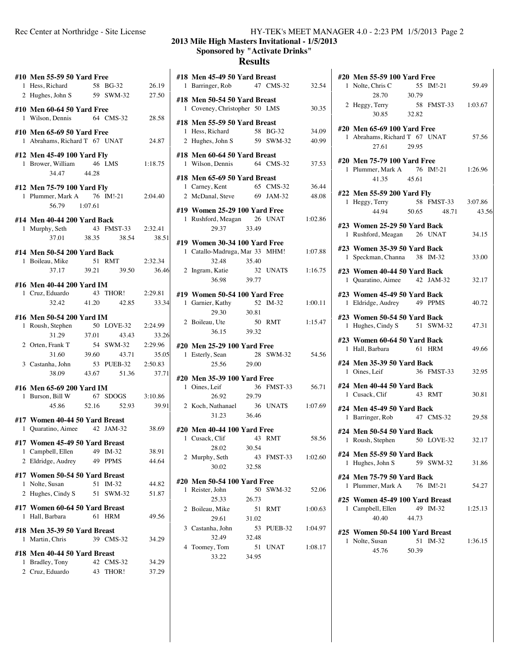## Rec Center at Northridge - Site License HY-TEK's MEET MANAGER 4.0 - 2:23 PM 1/5/2013 Page 2

# **2013 Mile High Masters Invitational - 1/5/2013 Sponsored by "Activate Drinks"**

# **Results**

|                | #10 Men 55-59 50 Yard Free                      |    |                    |         |
|----------------|-------------------------------------------------|----|--------------------|---------|
|                | 1 Hess, Richard 58 BG-32                        |    |                    | 26.19   |
|                | 2 Hughes, John S 59 SWM-32                      |    |                    |         |
|                |                                                 |    |                    | 27.50   |
|                | #10 Men 60-64 50 Yard Free                      |    |                    |         |
|                | 1 Wilson, Dennis 64 CMS-32 28.58                |    |                    |         |
|                |                                                 |    |                    |         |
|                | #10 Men 65-69 50 Yard Free                      |    |                    |         |
|                | 1 Abrahams, Richard T 67 UNAT                   |    |                    | 24.87   |
|                |                                                 |    |                    |         |
|                | #12 Men 45-49 100 Yard Fly                      |    |                    |         |
|                | 1 Brower, William 46 LMS 1:18.75                |    |                    |         |
|                | 34.47 44.28                                     |    |                    |         |
|                |                                                 |    |                    |         |
|                | #12 Men 75-79 100 Yard Fly                      |    |                    |         |
|                | 1 Plummer, Mark A 76 IM!-21 2:04.40             |    |                    |         |
|                | 56.79 1:07.61                                   |    |                    |         |
|                |                                                 |    |                    |         |
|                | #14 Men 40-44 200 Yard Back                     |    |                    |         |
|                | 1 Murphy, Seth                                  |    | 43 FMST-33 2:32.41 |         |
|                |                                                 |    | 37.01 38.35 38.54  | 38.51   |
|                |                                                 |    |                    |         |
|                | #14 Men 50-54 200 Yard Back                     |    |                    |         |
|                | 1 Boileau, Mike 51 RMT<br>37.17 39.21 39.50     |    |                    | 2:32.34 |
|                |                                                 |    | 39.50              | 36.46   |
|                | #16 Men 40-44 200 Yard IM                       |    |                    |         |
|                | 1 Cruz, Eduardo 43 THOR! 2:29.81                |    |                    |         |
|                | 32.42 41.20 42.85                               |    |                    | 33.34   |
|                |                                                 |    |                    |         |
|                | #16 Men 50-54 200 Yard IM                       |    |                    |         |
|                | 1 Roush, Stephen                                |    | 50 LOVE-32 2:24.99 |         |
|                |                                                 |    |                    | 33.26   |
|                | 31.29 37.01 43.43<br>2 Orten, Frank T 54 SWM-32 |    |                    | 2:29.96 |
|                |                                                 |    |                    |         |
|                | 31.60                                           |    | 39.60 43.71        | 35.05   |
|                | 3 Castanha, John                                |    | 53 PUEB-32 2:50.83 |         |
|                |                                                 |    | 38.09 43.67 51.36  | 37.71   |
|                |                                                 |    |                    |         |
|                | #16 Men 65-69 200 Yard IM                       |    |                    |         |
|                | 1 Burson, Bill W                                |    | 67 SDOGS 3:10.86   |         |
|                |                                                 |    | 45.86 52.16 52.93  | 39.91   |
|                | #17 Women 40-44 50 Yard Breast                  |    |                    |         |
|                | 1 Quaratino, Aimee 42 JAM-32                    |    |                    | 38.69   |
|                |                                                 |    |                    |         |
|                | #17 Women 45-49 50 Yard Breast                  |    |                    |         |
| 1              | Campbell, Ellen                                 |    | 49 IM-32           | 38.91   |
| $\overline{2}$ | Eldridge, Audrey                                | 49 | <b>PPMS</b>        | 44.64   |
|                |                                                 |    |                    |         |
|                | #17 Women 50-54 50 Yard Breast                  |    |                    |         |
| 1              | Nolte, Susan                                    | 51 | $IM-32$            | 44.82   |
|                | 2 Hughes, Cindy S                               | 51 | <b>SWM-32</b>      | 51.87   |
|                |                                                 |    |                    |         |
|                | #17 Women 60-64 50 Yard Breast                  |    |                    |         |
| 1              | Hall, Barbara                                   | 61 | <b>HRM</b>         | 49.56   |
|                | #18 Men 35-39 50 Yard Breast                    |    |                    |         |
| 1              | Martin, Chris                                   |    | 39 CMS-32          | 34.29   |
|                |                                                 |    |                    |         |
|                | #18 Men 40-44 50 Yard Breast                    |    |                    |         |
| 1              | Bradley, Tony                                   | 42 | $CMS-32$           | 34.29   |
|                | 2 Cruz, Eduardo                                 | 43 | THOR!              | 37.29   |
|                |                                                 |    |                    |         |
|                |                                                 |    |                    |         |

|    |                                                               |             | #18 Men 45-49 50 Yard Breast<br>47 CMS-32 | 32.54   |
|----|---------------------------------------------------------------|-------------|-------------------------------------------|---------|
|    | #18 Men 50-54 50 Yard Breast<br>1 Coveney, Christopher 50 LMS |             |                                           | 30.35   |
|    |                                                               |             |                                           |         |
|    | #18 Men 55-59 50 Yard Breast                                  |             |                                           |         |
|    | 1 Hess, Richard                                               |             | 58 BG-32                                  | 34.09   |
|    | 2 Hughes, John S 59 SWM-32                                    |             |                                           | 40.99   |
|    | #18 Men 60-64 50 Yard Breast                                  |             |                                           |         |
| 1  | Wilson, Dennis 64 CMS-32                                      |             |                                           | 37.53   |
|    |                                                               |             |                                           |         |
|    | #18 Men 65-69 50 Yard Breast                                  |             | 65 CMS-32                                 |         |
|    | 1 Carney, Kent<br>2 McDanal, Steve 69 JAM-32                  |             |                                           | 36.44   |
|    |                                                               |             |                                           | 48.08   |
|    | #19 Women 25-29 100 Yard Free                                 |             |                                           |         |
|    | 1 Rushford, Meagan 26 UNAT                                    |             |                                           | 1:02.86 |
|    | 29.37 33.49                                                   |             |                                           |         |
|    | #19 Women 30-34 100 Yard Free                                 |             |                                           |         |
|    | 1 Catallo-Madruga, Mar 33 MHM!                                |             |                                           | 1:07.88 |
|    | 32.48                                                         | 35.40       |                                           |         |
|    | 2 Ingram, Katie                                               |             | 32 UNAT\$                                 | 1:16.75 |
|    | 36.98 39.77                                                   |             |                                           |         |
|    |                                                               |             |                                           |         |
|    | #19 Women 50-54 100 Yard Free                                 |             |                                           |         |
|    | 1 Garnier, Kathy                                              |             | 52 IM-32                                  | 1:00.11 |
|    | 29.30                                                         | 30.81       |                                           |         |
|    | 2 Boileau, Ute                                                |             | 50 RMT                                    | 1:15.47 |
|    | 36.15                                                         | 39.32       |                                           |         |
|    | #20 Men 25-29 100 Yard Free                                   |             |                                           |         |
|    | 1 Esterly, Sean                                               |             | 28 SWM-32                                 | 54.56   |
|    | 25.56                                                         | 29.00       |                                           |         |
|    |                                                               |             |                                           |         |
|    | #20 Men 35-39 100 Yard Free                                   |             |                                           |         |
|    |                                                               |             |                                           |         |
| 1. | Oines, Leif                                                   |             | 36 FMST-33                                | 56.71   |
|    | 26.92                                                         | 29.79       |                                           |         |
|    | 2 Koch, Nathanael                                             |             | 36 UNAT\$                                 | 1:07.69 |
|    | 31.23                                                         | 36.46       |                                           |         |
|    | #20 Men 40-44 100 Yard Free                                   |             |                                           |         |
|    | 1 Cusack, Clif                                                | 43 RMT      |                                           | 58.56   |
|    | 28.02                                                         | 30.54       |                                           |         |
|    | 2 Murphy, Seth                                                | 43          | FMST-33                                   | 1:02.60 |
|    | 30.02                                                         | 32.58       |                                           |         |
|    |                                                               |             |                                           |         |
|    | #20 Men 50-54 100 Yard Free                                   |             |                                           |         |
| 1  | Reister, John                                                 | 50          | SWM-32                                    | 52.06   |
|    | 25.33                                                         | 26.73       |                                           |         |
| 2  | Boileau, Mike                                                 | 51          | RMT                                       | 1:00.63 |
|    | 29.61                                                         | 31.02       |                                           |         |
|    | 3 Castanha, John                                              |             | 53 PUEB-32                                | 1:04.97 |
|    | 32.49                                                         | 32.48       |                                           |         |
| 4  | Toomey, Tom<br>33.22                                          | 51<br>34.95 | UNAT                                      | 1:08.17 |

|   | #20 Men 55-59 100 Yard Free                                                 |             |                             |         |
|---|-----------------------------------------------------------------------------|-------------|-----------------------------|---------|
| 1 | Nolte, Chris C<br>28.70                                                     | 30.79       | 55 IM!-21                   | 59.49   |
|   | 2 Heggy, Terry 58 FMST-33 1:03.67<br>30.85 32.82                            |             |                             |         |
|   |                                                                             |             |                             |         |
|   | #20 Men 65-69 100 Yard Free<br>1 Abrahams, Richard T 67 UNAT<br>27.61       | 29.95       |                             | 57.56   |
|   | #20 Men 75-79 100 Yard Free<br>1 Plummer, Mark A 76 IM!-21 1:26.96<br>41.35 | 45.61       |                             |         |
|   | #22 Men 55-59 200 Yard Fly<br>1 Heggy, Terry<br>44.94 50.65                 |             | 58 FMST-33 3:07.86<br>48.71 | 43.56   |
|   | #23 Women 25-29 50 Yard Back<br>1 Rushford, Meagan 26 UNAT                  |             |                             | 34.15   |
| 1 | #23 Women 35-39 50 Yard Back<br>Speckman, Channa 38 IM-32                   |             |                             | 33.00   |
|   | #23 Women 40-44 50 Yard Back<br>1 Quaratino, Aimee 42 JAM-32                |             |                             | 32.17   |
|   | #23 Women 45-49 50 Yard Back<br>1 Eldridge, Audrey 49 PPMS                  |             |                             | 40.72   |
| 1 | #23 Women 50-54 50 Yard Back<br>Hughes, Cindy S 51 SWM-32                   |             |                             | 47.31   |
|   | #23 Women 60-64 50 Yard Back<br>1 Hall, Barbara                             |             | 61 HRM                      | 49.66   |
|   | #24 Men 35-39 50 Yard Back<br>1 Oines, Leif                                 |             | 36 FMST-33                  | 32.95   |
|   | #24 Men 40-44 50 Yard Back<br>1 Cusack, Clif                                |             | 43 RMT                      | 30.81   |
|   | #24 Men 45-49 50 Yard Back<br>1 Barringer, Rob                              |             | 47 CMS-32                   | 29.58   |
|   | #24 Men 50-54 50 Yard Back<br>1 Roush, Stephen 50 LOVE-32 32.17             |             |                             |         |
| 1 | #24 Men 55-59 50 Yard Back<br>Hughes, John S                                |             | 59 SWM-32                   | 31.86   |
| 1 | #24 Men 75-79 50 Yard Back<br>Plummer, Mark A                               |             | 76 IM!-21                   | 54.27   |
|   | #25 Women 45-49 100 Yard Breast<br>1 Campbell, Ellen<br>40.40               | 44.73       | 49 IM-32                    | 1:25.13 |
| 1 | #25 Women 50-54 100 Yard Breast<br>Nolte, Susan<br>45.76                    | 51<br>50.39 | $IM-32$                     | 1:36.15 |